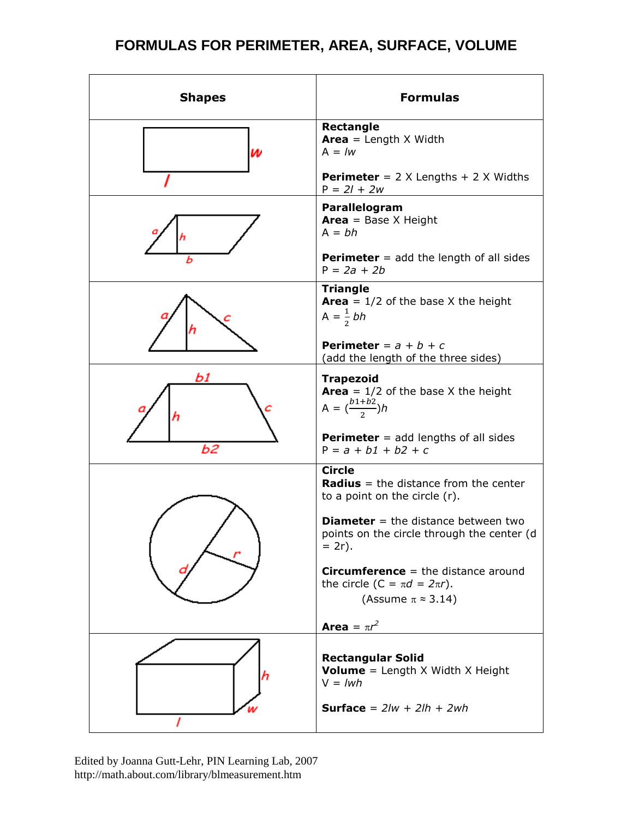## **FORMULAS FOR PERIMETER, AREA, SURFACE, VOLUME**

| <b>Shapes</b> | <b>Formulas</b>                                                                                                   |
|---------------|-------------------------------------------------------------------------------------------------------------------|
| W             | Rectangle<br><b>Area</b> = Length $X$ Width<br>$A = lw$                                                           |
|               | <b>Perimeter</b> = $2 \times$ Lengths + $2 \times$ Widths<br>$P = 2l + 2w$                                        |
|               | Parallelogram<br><b>Area</b> = Base $X$ Height<br>$A = bh$                                                        |
| ь             | <b>Perimeter</b> = $add$ the length of all sides<br>$P = 2a + 2b$                                                 |
|               | <b>Triangle</b><br><b>Area</b> = $1/2$ of the base X the height<br>$A = \frac{1}{2}bh$                            |
|               | <b>Perimeter</b> = $a + b + c$<br>(add the length of the three sides)                                             |
| b.            | <b>Trapezoid</b><br><b>Area</b> = $1/2$ of the base X the height<br>A = $\left(\frac{b1+b2}{2}\right)h$           |
| Ь2            | <b>Perimeter</b> $=$ add lengths of all sides<br>$P = a + b1 + b2 + c$                                            |
|               | <b>Circle</b><br><b>Radius</b> = the distance from the center<br>to a point on the circle (r).                    |
|               | <b>Diameter</b> = the distance between two<br>points on the circle through the center (d<br>$= 2r$ ).             |
|               | <b>Circumference</b> = the distance around<br>the circle (C = $\pi d = 2\pi r$ ).<br>(Assume $\pi \approx 3.14$ ) |
|               | <b>Area</b> = $\pi r^2$                                                                                           |
|               | <b>Rectangular Solid</b><br><b>Volume</b> = Length $X$ Width $X$ Height<br>$V = lwh$                              |
|               | <b>Surface</b> = $2/w + 2lh + 2wh$                                                                                |

Edited by Joanna Gutt-Lehr, PIN Learning Lab, 2007 http://math.about.com/library/blmeasurement.htm